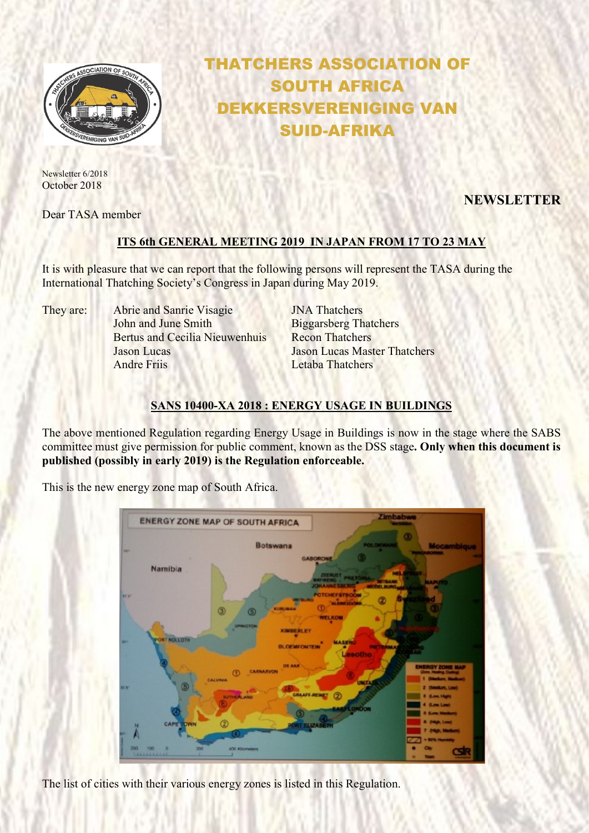

Newsletter 6/2018 October 2018

Dear TASA member

# THATCHERS ASSOCIATION OF SOUTH AFRICA DEKKERSVERENIGING VAN SUID-AFRIKA

NEWSLETTER

## ITS 6th GENERAL MEETING 2019 IN JAPAN FROM 17 TO 23 MAY

It is with pleasure that we can report that the following persons will represent the TASA during the International Thatching Society's Congress in Japan during May 2019.

They are: Abrie and Sanrie Visagie **INA Thatchers** John and June Smith Biggarsberg Thatchers Bertus and Cecilia Nieuwenhuis Recon Thatchers Jason Lucas Jason Lucas Master Thatchers Andre Friis Letaba Thatchers

## SANS 10400-XA 2018 : ENERGY USAGE IN BUILDINGS

The above mentioned Regulation regarding Energy Usage in Buildings is now in the stage where the SABS committee must give permission for public comment, known as the DSS stage. Only when this document is published (possibly in early 2019) is the Regulation enforceable.

This is the new energy zone map of South Africa.



The list of cities with their various energy zones is listed in this Regulation.